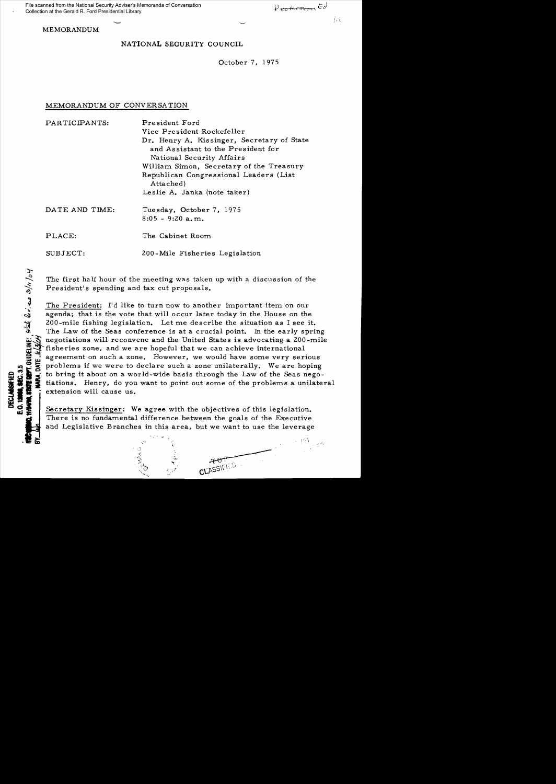File scanned from the National Security Adviser's Memoranda of Conversation Collection at the Gerald R. Ford Presidential Library

ने दर्

MEMORANDUM

# NATIONAL SECURITY COUNCIL

October 7, 1975

## MEMORANDUM OF CONVERSATION

| PARTICIPANTS:  | President Ford                                                                                                |
|----------------|---------------------------------------------------------------------------------------------------------------|
|                | Vice President Rockefeller                                                                                    |
|                | Dr. Henry A. Kissinger, Secretary of State<br>and Assistant to the President for<br>National Security Affairs |
|                | William Simon, Secretary of the Treasury                                                                      |
|                | Republican Congressional Leaders (List                                                                        |
|                | Attached)                                                                                                     |
|                | Leslie A. Janka (note taker)                                                                                  |
| DATE AND TIME: | Tuesday, October 7, 1975                                                                                      |
|                | $8:05 - 9:20$ a.m.                                                                                            |
| PLACE:         | The Cabinet Room                                                                                              |
| SUBJECT:       | 200-Mile Fisheries Legislation                                                                                |

The first half hour of the meeting was taken up with a discussion of the President's spending and tax cut proposals.

The President: I'd like to turn now to another important item on our agenda; that is the vote that will occur later today in the House on the 200-mile fishing legislation. Let me describe the situation as I see it. The Law of the Seas conference is at a crucial point. In the early spring negotiations will reconvene and the United States is advocating a 200-mile fisheries zone, and we are hopeful that we can achieve international I agreement on such a zone. However, we would have some very serious<br>groblems if we were to declare such a zone unilaterally. We are hoping<br>to bring it about on a world-wide basis through the Law of the Seas nego-<br>tiations  $~$   $\frac{1}{10}$   $\frac{1}{10}$   $\frac{1}{10}$  is problems if we were to declare such a zone unilaterally. We are hoping<br>to bring it about on a world-wide basis through the Law of the Seas nego-<br> $\frac{1}{10}$   $\frac{1}{10}$  tations. Henry  $\frac{1}{2}$   $\frac{3}{2}$  is to bring it about on a world-wide basis through the Law of the Seas nego-<br> $\frac{1}{2}$  is tiations. Henry, do you want to point out some of the problems a unilateral <sup>~</sup>I \_~ extension will cause us.

Secretary Kissinger: We agree with the objectives of this legislation. There is no fundamental difference between the goals of the Executive<br>
and Legislative Branches in this area, but we want to use the leverage<br>  $\begin{array}{cccc}\n & \ddots & \ddots & \ddots & \ddots \\
 & \ddots & \ddots & \ddots & \ddots \\
 & \ddots & \ddots & \ddots & \ddots\n\end{array}$ and Legislative Branches in this area, but we want to use the leverage

'. '

 $\ddot{\sim}$ oj  $\mathbb{R}^+$ 

:t-

~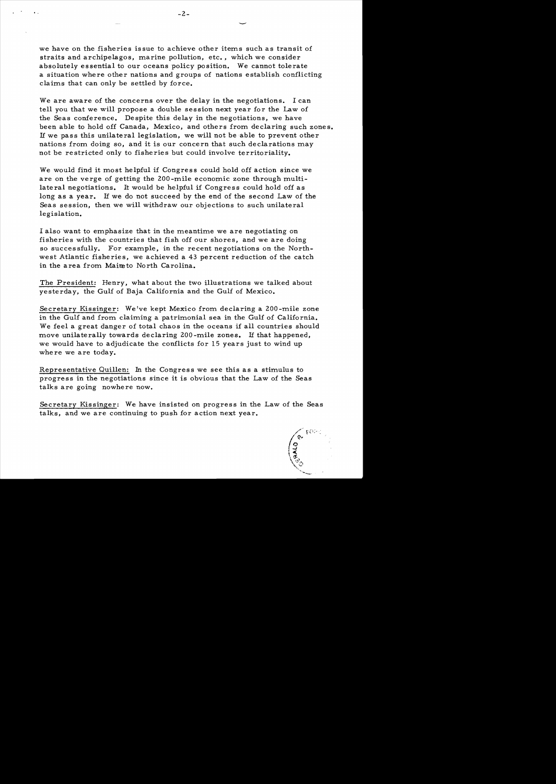we have on the fisheries is sue to achieve other items such as transit of straits and archipelagos, marine pollution, etc., which we consider absolutely essential to our oceans policy position. We cannot tolerate a situation where other nations and groups of nations establish conflicting claims that can only be settled by force.

We are aware of the concerns over the delay in the negotiations. I can tell you that we will propose a double session next year for the Law of the Seas conference. Despite this delay in the negotiations, we have been able to hold off Canada, Mexico, and others from declaring such zones. If we pass this unilateral legislation, we will not be able to prevent other nations from doing so, and it is our concern that such declarations may not be restricted only to fisheries but could involve territoriality.

We would find it most helpful if Congress could hold off action since we are on the verge of getting the 200-mile economic zone through multilateral negotiations. It would be helpful if Congress could hold off as long as a year. If we do not succeed by the end of the second Law of the Seas session, then we will withdraw our objections to such unilateral legislation.

I also want to emphasize that in the meantime we are negotiating on fisheries with the countries that fish off our shores, and we are doing so successfully. For example, in the recent negotiations on the Northwest Atlantic fisheries, we achieved a 43 percent reduction of the catch in the area from Maineto North Carolina.

The President: Henry, what about the two illustrations we talked about yesterday, the Gulf of Baja California and the Gulf of Mexico.

Secretary Kissinger: We've kept Mexico from declaring a 200 -mile zone in the Gulf and from claiming a patrimonial sea in the Gulf of California. We feel a great danger of total chaos in the oceans if all countries should move unilaterally towards declaring 200-mile zones. If that happened, we would have to adjudicate the conflicts for 15 years just to wind up where we are today.

Representative Quillen: In the Congress we see this as a stimulus to progress in the negotiations since it is obvious that the Law of the Seas talks are going nowhere now.

Secretary Kissinger: We have insisted on progress in the Law of the Seas talks, and we are continuing to push for action next year.

/ २,<br>०५८<br>द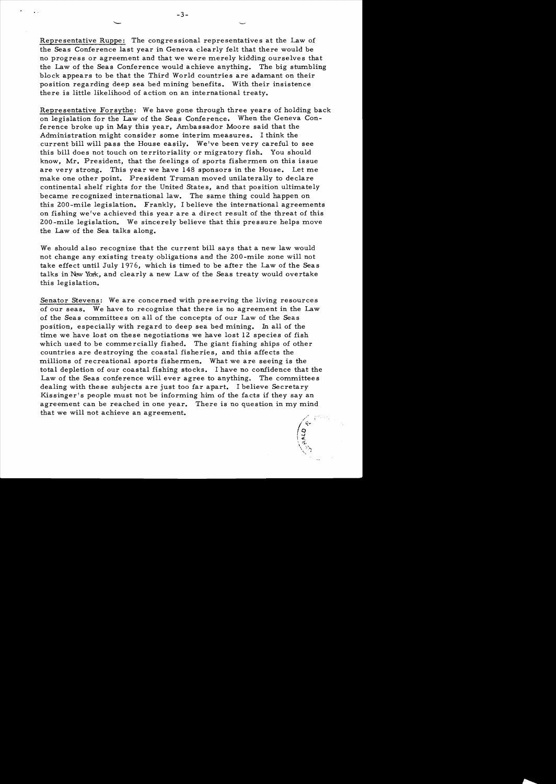Representative Ruppe: The congressional representatives at the Law of the Seas Conference last year in Geneva clearly felt that there would be no progress or agreement and that we were merely kidding ourselves that the Law of the Seas Conference would achieve anything. The big stumbling block appears to be that the Third World countries are adamant on their position regarding deep sea bed mining benefits. With their insistence there is little likelihood of action on an international treaty.

Representative Forsythe: We have gone through three years of holding back on legislation for the Law of the Seas Conference. When the Geneva Conference broke up in May this year, Ambassador Moore said that the Administration might consider some interim measures. I think the current bill will pass the House easily. We've been very careful to see this bill does not touch on territoriality or migratory fish. You should know, Mr. President, that the feelings of sports fishermen on this issue are very strong. This year we have 148 sponsors in the House. Let me make one other point. President Truman moved unilaterally to declare continental shelf rights for the United States, and that position ultimately became recognized international law. The same thing could happen on this 200 -mile legislation. Frankly, I believe the international agreements on fishing we've achieved this year are a direct result of the threat of this 200 -mile legislation. We sincerely believe that this pres sure helps move the Law of the Sea talks along.

We should also recognize that the current bill says that a new law would not change any existing treaty obligations and the 200-mile zone will not take effect until July 1976, which is timed to be after the Law of the Seas talks in New York, and clearly a new Law of the Seas treaty would overtake this legislation.

Senator Stevens: We are concerned with preserving the living resources of our seas. We have to recognize that there is no agreement in the Law of the Seas committees on all of the concepts of our Law of the Seas position, especially with regard to deep sea bed mining. In all of the time we have lost on these negotiations we have lost 12 species of fish which used to be commercially fished. The giant fishing ships of other countries are destroying the coastal fisheries, and this affects the millions of recreational sports fishermen. What we are seeing is the total depletion of our coastal fishing stocks. I have no confidence that the Law of the Seas conference will ever agree to anything. The committees dealing with these subjects are just too far apart. I believe Secretary Kissinger's people must not be informing him of the facts if they say an agreement can be reached in one year. There is no question in my mind that we will not achieve an agreement. agreement can be reached in one year. There is no question in my mind

 $\sqrt{c^2}$ 

 $\frac{1}{2}$  $\chi_{\rm{max}}$  $\sim$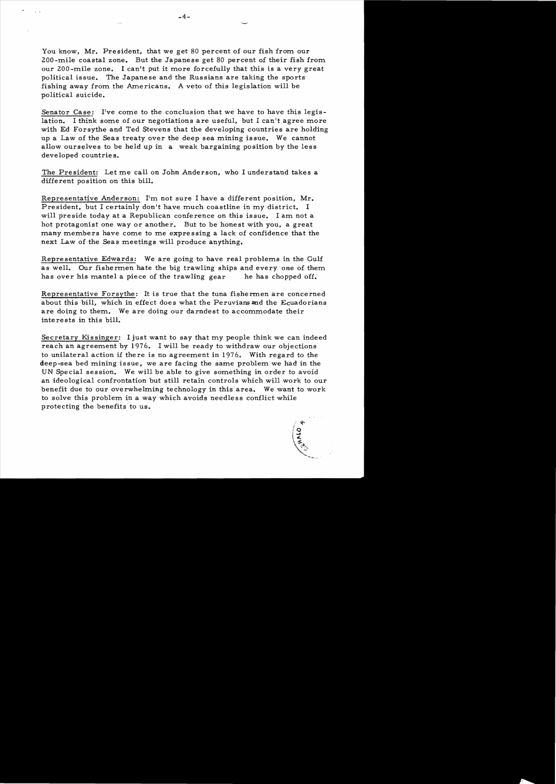You know, Mr. President, that we get 80 percent of our fish from our 200-mile coastal zone. But the Japanese get 80 percent of their fish from our 200-mile zone. I can't put it more forcefully that this is a very great political issue. The Japanese and the Russians are taking the sports fishing away from the Americans. A veto of this legislation will be political suicide.

Senator Case: I've come to the conclusion that we have to have this legislation. I think some of our negotiations are useful, but I can't agree more with Ed Forsythe and Ted Stevens that the developing countries are holding up a Law of the Seas treaty over the deep sea mining issue. We cannot allow ourselves to be held up in a weak bargaining position by the less developed countries.

The President: Let me call on John Anderson, who I understand takes a different position on this bill.

Representative Anderson: I'm not sure I have a different position, Mr. President, but I certainly don't have much coastline in my district. I will preside today at a Republican conference on this issue. I am not a hot protagonist one way or another. But to be honest with you, a great many members have come to me expressing a lack of confidence that the next Law of the Seas meetings will produce anything.

Representative Edwards: We are going to have real problems in the Gulf as well. Our fishermen hate the big trawling ships and every one of them has over his mantel a piece of the trawling gear he has chopped off.

Representative Forsythe: It is true that the tuna fishermen are concerned about this bill, which in effect does what the Peruvians and the Ecuadorians are doing to them. We are doing our darndest to accommodate their interests in this bill.

Secretary Kissinger: I just want to say that my people think we can indeed reach an agreement by 1976. I will be ready to withdraw our objections to unilateral action if there is no agreement in 1976. With regard to the deep-sea bed mining issue, we are facing the same problem we had in the UN Special session. We will be able to give something in order to avoid an ideological confrontation but still retain controls which will work to our benefit due to our overwhelming technology in this area. We want to work to solve this problem in a way which avoids needless conflict while protecting the benefits to us.

> *i* l,( rQ **224x**  $\Delta$   $\sim$   $\sim$ '~1.... .... """,,,.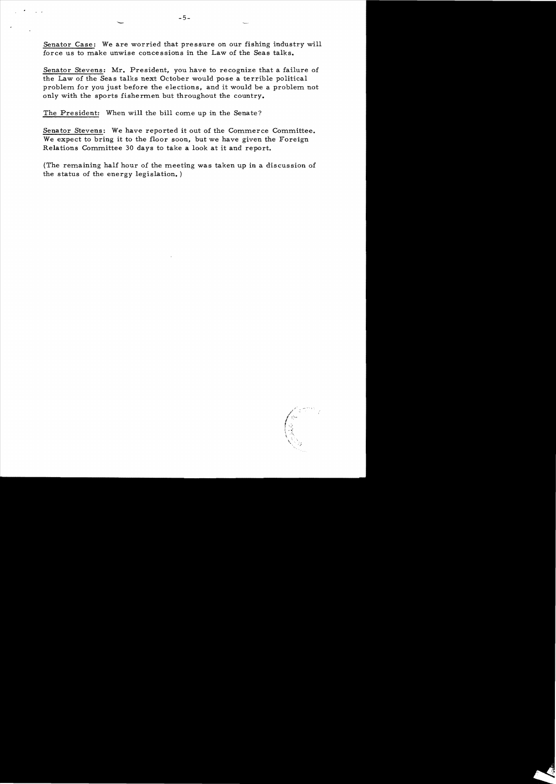Senator Case: We are worried that pressure on our fishing industry will force us to make unwise concessions in the Law of the Seas talks.

Senator Stevens: Mr. President, you have to recognize that a failure of the Law of the Seas talks next October would pose a terrible political problem for you just before the elections, and it would be a problem not only with the sports fishermen but throughout the country.

The President: When will the bill come up in the Senate?

Senator Stevens: We have reported it out of the Commerce Committee. We expect to bring it to the floor soon, but we have given the Foreign Relations Committee 30 days to take a look at it and report.

(The remaining half hour of the meeting was taken up in a discussion of the status of the energy legislation. )